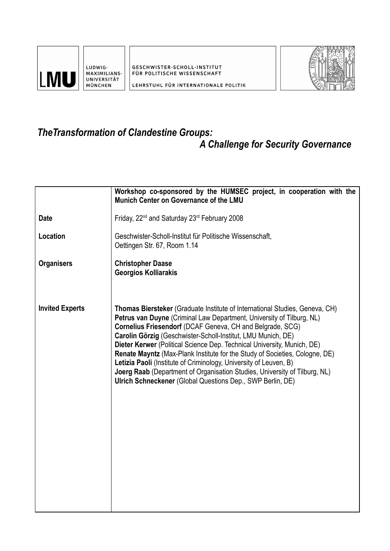

LUDWIG-MAXIMILIANS-UNIVERSITÄT MÜNCHEN

GESCHWISTER-SCHOLL-INSTITUT FÜR POLITISCHE WISSENSCHAFT



LEHRSTUHL FÜR INTERNATIONALE POLITIK

## *TheTransformation of Clandestine Groups: A Challenge for Security Governance*

## **Date Location Organisers Invited Experts Workshop co-sponsored by the HUMSEC project, in cooperation with the Munich Center on Governance of the LMU** Friday, 22<sup>nd</sup> and Saturday 23<sup>rd</sup> February 2008 Geschwister-Scholl-Institut für Politische Wissenschaft, Oettingen Str. 67, Room 1.14 **Christopher Daase Georgios Kolliarakis Thomas Biersteker** (Graduate Institute of International Studies, Geneva, CH) **Petrus van Duyne** (Criminal Law Department, University of Tilburg, NL) **Cornelius Friesendorf** (DCAF Geneva, CH and Belgrade, SCG) **Carolin Görzig** (Geschwister-Scholl-Institut, LMU Munich, DE) **Dieter Kerwer** (Political Science Dep. Technical University, Munich, DE) **Renate Mayntz** (Max-Plank Institute for the Study of Societies, Cologne, DE) **Letizia Paoli** (Institute of Criminology, University of Leuven, B) **Joerg Raab** (Department of Organisation Studies, University of Tilburg, NL) **Ulrich Schneckener** (Global Questions Dep., SWP Berlin, DE)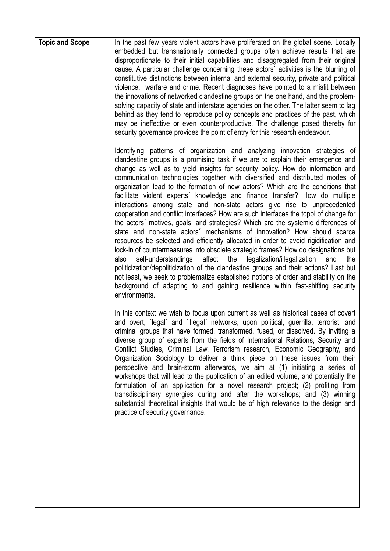| <b>Topic and Scope</b> | In the past few years violent actors have proliferated on the global scene. Locally<br>embedded but transnationally connected groups often achieve results that are<br>disproportionate to their initial capabilities and disaggregated from their original<br>cause. A particular challenge concerning these actors' activities is the blurring of<br>constitutive distinctions between internal and external security, private and political<br>violence, warfare and crime. Recent diagnoses have pointed to a misfit between<br>the innovations of networked clandestine groups on the one hand, and the problem-<br>solving capacity of state and interstate agencies on the other. The latter seem to lag<br>behind as they tend to reproduce policy concepts and practices of the past, which<br>may be ineffective or even counterproductive. The challenge posed thereby for<br>security governance provides the point of entry for this research endeavour.                                                                                                                                                                                                                                                                                                                                                                                                                                |
|------------------------|------------------------------------------------------------------------------------------------------------------------------------------------------------------------------------------------------------------------------------------------------------------------------------------------------------------------------------------------------------------------------------------------------------------------------------------------------------------------------------------------------------------------------------------------------------------------------------------------------------------------------------------------------------------------------------------------------------------------------------------------------------------------------------------------------------------------------------------------------------------------------------------------------------------------------------------------------------------------------------------------------------------------------------------------------------------------------------------------------------------------------------------------------------------------------------------------------------------------------------------------------------------------------------------------------------------------------------------------------------------------------------------------------|
|                        | Identifying patterns of organization and analyzing innovation strategies of<br>clandestine groups is a promising task if we are to explain their emergence and<br>change as well as to yield insights for security policy. How do information and<br>communication technologies together with diversified and distributed modes of<br>organization lead to the formation of new actors? Which are the conditions that<br>facilitate violent experts' knowledge and finance transfer? How do multiple<br>interactions among state and non-state actors give rise to unprecedented<br>cooperation and conflict interfaces? How are such interfaces the topoi of change for<br>the actors' motives, goals, and strategies? Which are the systemic differences of<br>state and non-state actors' mechanisms of innovation? How should scarce<br>resources be selected and efficiently allocated in order to avoid rigidification and<br>lock-in of countermeasures into obsolete strategic frames? How do designations but<br>affect<br>self-understandings<br>the legalization/illegalization<br>also<br>and<br>the<br>politicization/depoliticization of the clandestine groups and their actions? Last but<br>not least, we seek to problematize established notions of order and stability on the<br>background of adapting to and gaining resilience within fast-shifting security<br>environments. |
|                        | In this context we wish to focus upon current as well as historical cases of covert<br>and overt, 'legal' and 'illegal' networks, upon political, guerrilla, terrorist, and<br>criminal groups that have formed, transformed, fused, or dissolved. By inviting a<br>diverse group of experts from the fields of International Relations, Security and<br>Conflict Studies, Criminal Law, Terrorism research, Economic Geography, and<br>Organization Sociology to deliver a think piece on these issues from their<br>perspective and brain-storm afterwards, we aim at (1) initiating a series of<br>workshops that will lead to the publication of an edited volume, and potentially the<br>formulation of an application for a novel research project; (2) profiting from<br>transdisciplinary synergies during and after the workshops; and (3) winning<br>substantial theoretical insights that would be of high relevance to the design and<br>practice of security governance.                                                                                                                                                                                                                                                                                                                                                                                                                |